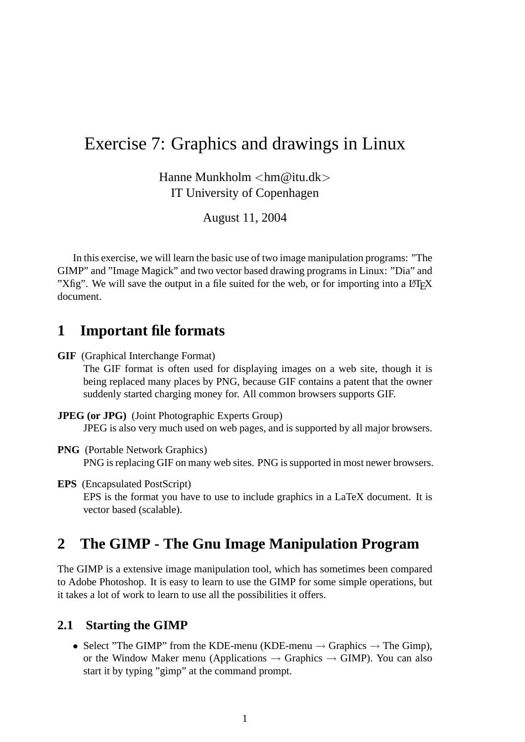# Exercise 7: Graphics and drawings in Linux

Hanne Munkholm <hm@itu.dk> IT University of Copenhagen

August 11, 2004

In this exercise, we will learn the basic use of two image manipulation programs: "The GIMP" and "Image Magick" and two vector based drawing programs in Linux: "Dia" and "Xfig". We will save the output in a file suited for the web, or for importing into a L<sup>AT</sup>EX document.

## **1 Important file formats**

- **GIF** (Graphical Interchange Format) The GIF format is often used for displaying images on a web site, though it is being replaced many places by PNG, because GIF contains a patent that the owner suddenly started charging money for. All common browsers supports GIF.
- **JPEG (or JPG)** (Joint Photographic Experts Group) JPEG is also very much used on web pages, and is supported by all major browsers.
- **PNG** (Portable Network Graphics) PNG is replacing GIF on many web sites. PNG is supported in most newer browsers.
- **EPS** (Encapsulated PostScript) EPS is the format you have to use to include graphics in a LaTeX document. It is vector based (scalable).

# **2 The GIMP - The Gnu Image Manipulation Program**

The GIMP is a extensive image manipulation tool, which has sometimes been compared to Adobe Photoshop. It is easy to learn to use the GIMP for some simple operations, but it takes a lot of work to learn to use all the possibilities it offers.

#### **2.1 Starting the GIMP**

• Select "The GIMP" from the KDE-menu (KDE-menu  $\rightarrow$  Graphics  $\rightarrow$  The Gimp), or the Window Maker menu (Applications  $\rightarrow$  Graphics  $\rightarrow$  GIMP). You can also start it by typing "gimp" at the command prompt.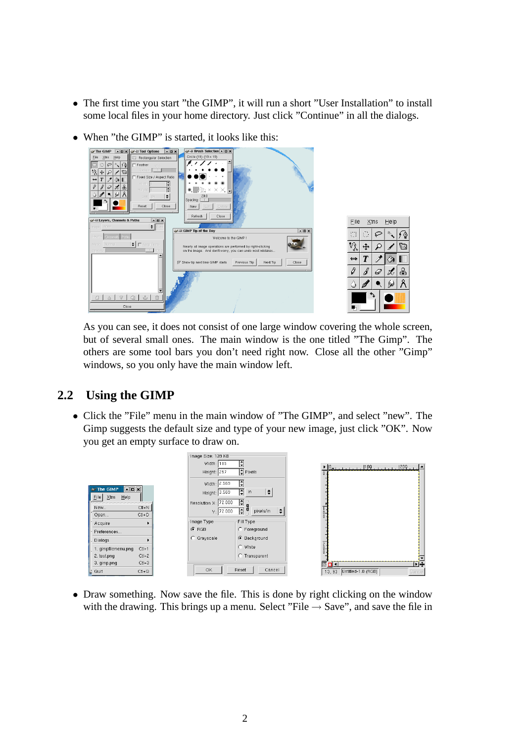• The first time you start "the GIMP", it will run a short "User Installation" to install some local files in your home directory. Just click "Continue" in all the dialogs.



• When "the GIMP" is started, it looks like this:

As you can see, it does not consist of one large window covering the whole screen, but of several small ones. The main window is the one titled "The Gimp". The others are some tool bars you don't need right now. Close all the other "Gimp" windows, so you only have the main window left.

### **2.2 Using the GIMP**

• Click the "File" menu in the main window of "The GIMP", and select "new". The Gimp suggests the default size and type of your new image, just click "OK". Now you get an empty surface to draw on.



• Draw something. Now save the file. This is done by right clicking on the window with the drawing. This brings up a menu. Select "File  $\rightarrow$  Save", and save the file in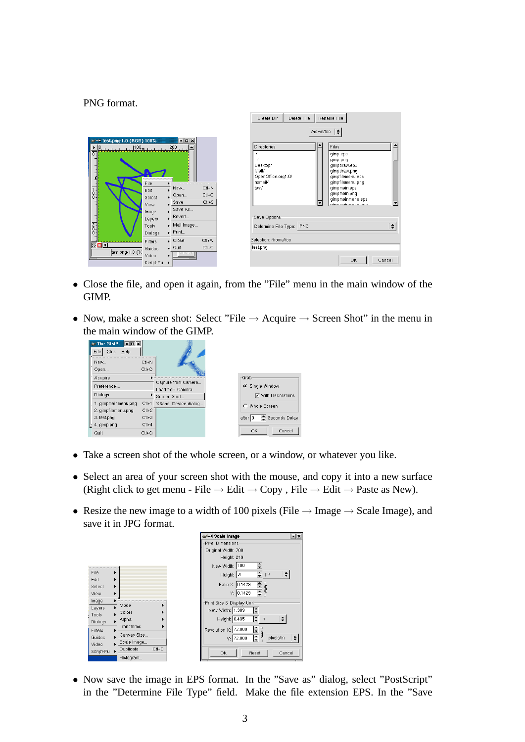PNG format.

|                                                                                                                                                                                                                                                                                                                                                                                                                                                                                                                                                                      | Create Dir<br>Delete File<br>Rename File                                                                                                                                                                                               |
|----------------------------------------------------------------------------------------------------------------------------------------------------------------------------------------------------------------------------------------------------------------------------------------------------------------------------------------------------------------------------------------------------------------------------------------------------------------------------------------------------------------------------------------------------------------------|----------------------------------------------------------------------------------------------------------------------------------------------------------------------------------------------------------------------------------------|
| $\Box$ o $\times$<br>br=H test.png-1.0 (RGB) 100%<br>$\triangleright$ $\parallel$ 0, $\parallel$ , $\parallel$ , $\parallel$ , $\parallel$ , $\parallel$ , $\parallel$ , $\parallel$ , $\parallel$ , $\parallel$ , $\parallel$ , $\parallel$ , $\parallel$ , $\parallel$ , $\parallel$ , $\parallel$ , $\parallel$ , $\parallel$ , $\parallel$ , $\parallel$ , $\parallel$ , $\parallel$ , $\parallel$ , $\parallel$ , $\parallel$ , $\parallel$ , $\parallel$ , $\parallel$ , $\parallel$ , $\parallel$ , $\parallel$<br>$\Omega$ .<br>₫<br>File<br>$Ct + N$<br>New | /home/foo<br>$\div$<br>≜<br>Files<br><b>Directories</b><br>gimp.eps<br>gimp.png<br>Desktop/<br>gimpdraw.eps<br>Mail/<br>gimpdraw.png<br>OpenOffice.org1.0/<br>gimpfilemenu.eps<br>nsmail/<br>gimpfilemenu.png<br>test/<br>gimpmain.eps |
| $\frac{1}{6}$<br>Edit<br>$Ctl+O$<br>Open<br>Ы<br>Select<br>$Ct + S$<br>$\sqrt{\frac{5}{2}}$                                                                                                                                                                                                                                                                                                                                                                                                                                                                          | gimpmain.png<br>gimpmainmenu.eps<br>▼                                                                                                                                                                                                  |
| View<br>Save As<br>Image<br>Revert                                                                                                                                                                                                                                                                                                                                                                                                                                                                                                                                   | dimomoinmenu nnd<br>Save Options                                                                                                                                                                                                       |
| Layers<br>즑<br>Mail Image<br>Tools<br>$\blacktriangleright$ Print<br>Dialogs                                                                                                                                                                                                                                                                                                                                                                                                                                                                                         | $\div$<br>Determine File Type: PNG                                                                                                                                                                                                     |
| $Ct + W$<br>$\mathsf{Close}$<br>Filters                                                                                                                                                                                                                                                                                                                                                                                                                                                                                                                              | Selection: /home/foo                                                                                                                                                                                                                   |
| 医口红<br>$CH + Q$<br>$\triangleright$ Quit<br>Guides<br>test.png-1.0 (RC                                                                                                                                                                                                                                                                                                                                                                                                                                                                                               | test.png                                                                                                                                                                                                                               |
| اخاللك<br>Video<br>▸<br>Script-Fu<br>٠                                                                                                                                                                                                                                                                                                                                                                                                                                                                                                                               | <b>OK</b><br>Cancel                                                                                                                                                                                                                    |

- Close the file, and open it again, from the "File" menu in the main window of the GIMP.
- Now, make a screen shot: Select "File  $\rightarrow$  Acquire  $\rightarrow$  Screen Shot" in the menu in the main window of the GIMP.



- Take a screen shot of the whole screen, or a window, or whatever you like.
- Select an area of your screen shot with the mouse, and copy it into a new surface (Right click to get menu - File  $\rightarrow$  Edit  $\rightarrow$  Copy, File  $\rightarrow$  Edit  $\rightarrow$  Paste as New).
- Resize the new image to a width of 100 pixels (File  $\rightarrow$  Image  $\rightarrow$  Scale Image), and save it in JPG format.

|                                              |                       | $\overline{\mathbf{r}}$<br>A Scale Image           |
|----------------------------------------------|-----------------------|----------------------------------------------------|
|                                              |                       | Pixel Dimensions-                                  |
|                                              |                       | Original Width: 700                                |
|                                              |                       | Height: 219                                        |
|                                              |                       | ÷<br>New Width: 100                                |
| File<br>٠                                    |                       | $\ddot{\phantom{0}}$<br>$\div$<br>Height: 31<br>px |
| Edit<br>٠<br>Select<br>$\blacktriangleright$ |                       | $\div$<br>Ratio X: 0.1429                          |
| View<br>٠                                    |                       | $\frac{1}{2}$<br>Y: 0.1429                         |
| Image<br>P.<br>Layers                        | Mode                  | Print Size & Display Unit                          |
| Tools                                        | Colors                | New Width: 1.389<br>÷                              |
| P.<br>Dialogs                                | <b>Alpha</b>          | H<br>Height: 0.435<br>in                           |
| Filters                                      | Transforms            | H<br>Resolution X: 72.000                          |
| $\blacktriangleright$<br>Guides              | Canvas Size           | 8<br>H<br>٠<br>pixels/in<br>Y: 72.000              |
| Video                                        | Scale Image           |                                                    |
| $\blacktriangleright$<br>Script-Fu           | $C1 + D$<br>Duplicate | OK<br>Cancel<br>Reset                              |
|                                              | Histogram             |                                                    |

• Now save the image in EPS format. In the "Save as" dialog, select "PostScript" in the "Determine File Type" field. Make the file extension EPS. In the "Save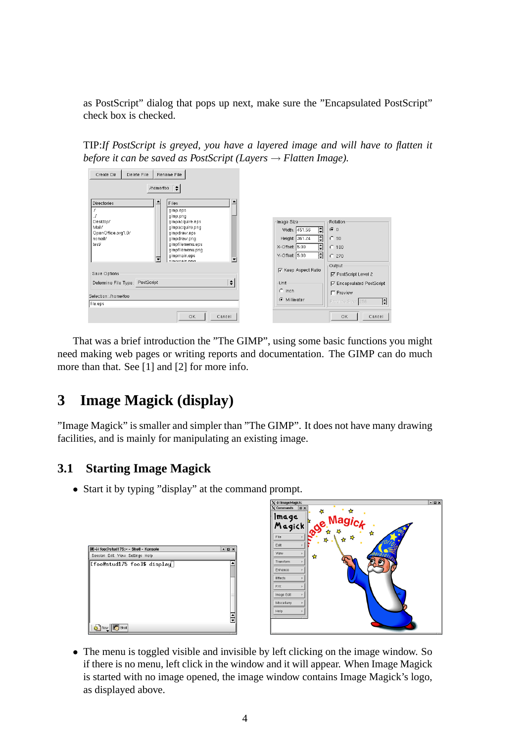as PostScript" dialog that pops up next, make sure the "Encapsulated PostScript" check box is checked.

TIP:*If PostScript is greyed, you have a layered image and will have to flatten it before it can be saved as PostScript (Layers* → *Flatten Image).*

| Delete File<br>Rename File<br>Create Dir                                                      |                                            |                                                    |
|-----------------------------------------------------------------------------------------------|--------------------------------------------|----------------------------------------------------|
| /home/foo                                                                                     |                                            |                                                    |
| $\blacktriangle$<br><b>Files</b><br><b>Directories</b><br>gimp.eps<br>gimp.png                |                                            |                                                    |
| Desktop/<br>gimpacquire.eps<br>Mail/<br>gimpacquire.png<br>OpenOffice.org1.0/<br>gimpdraw.eps | Image Size<br>H<br>Width: 451.56           | Rotation:<br>60                                    |
| nsmail/<br>gimpdraw.png<br>test/<br>gimpfilemenu.eps<br>gimpfilemenu.png                      | F<br>Height: 361.24<br>H<br>X-Offset: 5.00 | C.90<br>$C$ 180                                    |
| gimpmain.eps<br>ᅱ<br>dimnmain nnd                                                             | F<br>Y-Offset: 5.00                        | C.270<br>Output                                    |
| Save Options                                                                                  | <b>▽</b> Keep Aspect Ratio                 | <b>Ø</b> PostScript Level 2                        |
| $\div$<br>PostScript<br>Determine File Type:                                                  | Unit-<br>$C$ Inch                          | <b>☑</b> Encapsulated PostScript<br>$\Box$ Preview |
| Selection: /home/foo.<br>file.eps                                                             | • Millimeter                               | $\ddot{\phantom{1}}$<br>Preview Size: 256          |
| OK<br>Cancel                                                                                  |                                            | OK.<br>Cancel                                      |

That was a brief introduction the "The GIMP", using some basic functions you might need making web pages or writing reports and documentation. The GIMP can do much more than that. See [1] and [2] for more info.

# **3 Image Magick (display)**

"Image Magick" is smaller and simpler than "The GIMP". It does not have many drawing facilities, and is mainly for manipulating an existing image.

## **3.1 Starting Image Magick**

• Start it by typing "display" at the command prompt.

|                                                                                                                  |            | $X \rightarrow$ ImageMagick:<br>$\boxed{\blacksquare}$<br>$\chi$ Commands<br>↛<br>仅<br>Image<br>Magick de Magick<br>17<br>玲<br>File | eex |
|------------------------------------------------------------------------------------------------------------------|------------|-------------------------------------------------------------------------------------------------------------------------------------|-----|
| <b>III-X foo@stud175:~ - Shell - Konsole</b><br>Session Edit View Settings Help<br>  [foo@stud175 foo]\$ display | <b>FEX</b> | ✿<br>E,<br>Edit<br>View<br>✿<br>Transform<br>Enhance<br>Effects                                                                     |     |
| Shell Shell                                                                                                      | E          | F/X<br>Image Edit<br>Miscellany<br>Help                                                                                             |     |

• The menu is toggled visible and invisible by left clicking on the image window. So if there is no menu, left click in the window and it will appear. When Image Magick is started with no image opened, the image window contains Image Magick's logo, as displayed above.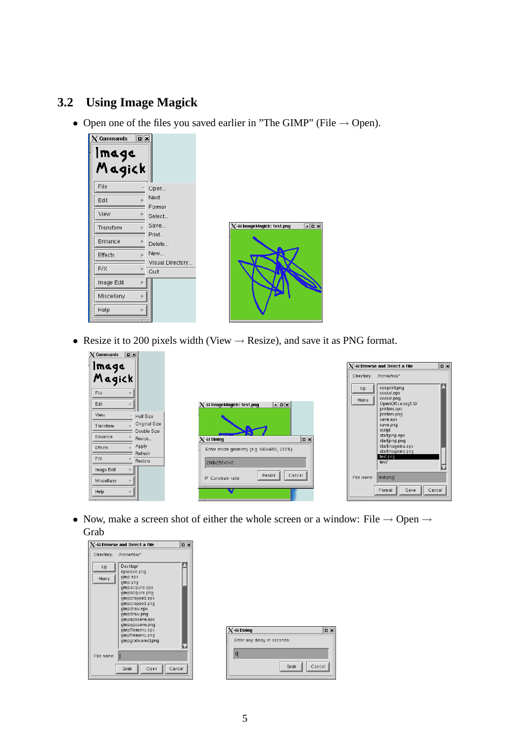### **3.2 Using Image Magick**

• Open one of the files you saved earlier in "The GIMP" (File  $\rightarrow$  Open).



• Resize it to 200 pixels width (View  $\rightarrow$  Resize), and save it as PNG format.

| $\overline{\mathbf{p}}$<br>$\times$ Commands |                                                            |                                                                    |
|----------------------------------------------|------------------------------------------------------------|--------------------------------------------------------------------|
|                                              |                                                            | $\boxed{\blacksquare}$<br>$X$ - $\bowtie$ Browse and Select a File |
| Image<br>Magick                              |                                                            | Directory: /home/foo/"                                             |
| File                                         |                                                            | oooprint.png<br>Up<br>ooourl.eps                                   |
| Edit                                         | $\Box$ o $\times$<br>$X$ - $\bowtie$ ImageMagick: test.png | ooourl.png<br>Home<br>OpenOffice.org1.0/                           |
| View<br>Half Size                            |                                                            | printers.eps<br>printers.png<br>save.eps                           |
| Original Size<br>Transform<br>Double Size    |                                                            | save.png<br>script                                                 |
| Enhance<br>Resize                            | $\boxed{2}$<br>$X \rightarrow A$ Dialog                    | startgimp.eps<br>startgimp.png                                     |
| Apply<br>Effects<br>Refresh                  | Enter resize geometry (e.g. 640x480, 200%):                | startimagema.eps<br>startimagema.png                               |
| F/X<br>Restore                               | 200 256+0+0                                                | test.png<br>test/                                                  |
| Image Edit                                   | Resize<br>Cancel<br>Constrain ratio                        | test.png<br>File name:                                             |
| Miscellany                                   |                                                            |                                                                    |
| Help                                         |                                                            | Format<br>Cancel<br>Save                                           |

• Now, make a screen shot of either the whole screen or a window: File  $\rightarrow$  Open  $\rightarrow$ Grab



| √√≓ Dialog                  | ⊡∣×            |
|-----------------------------|----------------|
| Enter any delay in seconds: |                |
| o                           |                |
|                             | Cancel<br>Grab |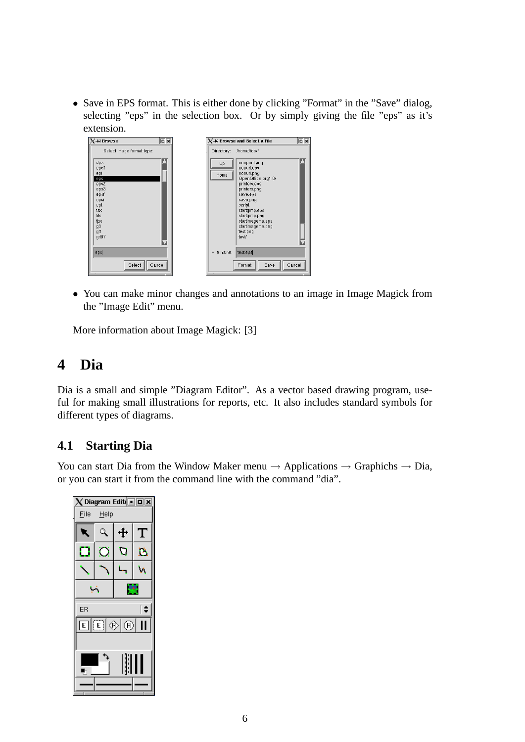• Save in EPS format. This is either done by clicking "Format" in the "Save" dialog, selecting "eps" in the selection box. Or by simply giving the file "eps" as it's extension.



• You can make minor changes and annotations to an image in Image Magick from the "Image Edit" menu.

More information about Image Magick: [3]

# **4 Dia**

Dia is a small and simple "Diagram Editor". As a vector based drawing program, useful for making small illustrations for reports, etc. It also includes standard symbols for different types of diagrams.

### **4.1 Starting Dia**

You can start Dia from the Window Maker menu  $\rightarrow$  Applications  $\rightarrow$  Graphichs  $\rightarrow$  Dia, or you can start it from the command line with the command "dia".

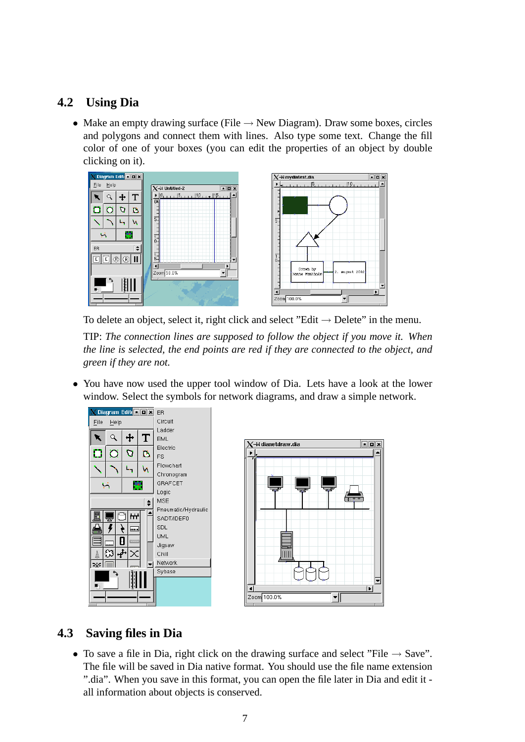### **4.2 Using Dia**

• Make an empty drawing surface (File  $\rightarrow$  New Diagram). Draw some boxes, circles and polygons and connect them with lines. Also type some text. Change the fill color of one of your boxes (you can edit the properties of an object by double clicking on it).



To delete an object, select it, right click and select "Edit  $\rightarrow$  Delete" in the menu.

TIP: *The connection lines are supposed to follow the object if you move it. When the line is selected, the end points are red if they are connected to the object, and green if they are not.*

• You have now used the upper tool window of Dia. Lets have a look at the lower window. Select the symbols for network diagrams, and draw a simple network.

a a x

╺║



## **4.3 Saving files in Dia**

• To save a file in Dia, right click on the drawing surface and select "File  $\rightarrow$  Save". The file will be saved in Dia native format. You should use the file name extension ".dia". When you save in this format, you can open the file later in Dia and edit it all information about objects is conserved.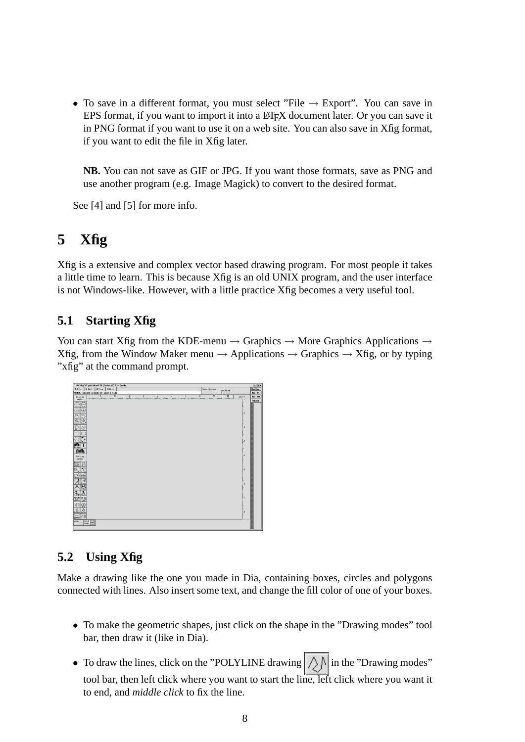• To save in a different format, you must select "File  $\rightarrow$  Export". You can save in EPS format, if you want to import it into a LATEX document later. Or you can save it in PNG format if you want to use it on a web site. You can also save in Xfig format, if you want to edit the file in Xfig later.

**NB.** You can not save as GIF or JPG. If you want those formats, save as PNG and use another program (e.g. Image Magick) to convert to the desired format.

See [4] and [5] for more info.

# **5 Xfig**

Xfig is a extensive and complex vector based drawing program. For most people it takes a little time to learn. This is because Xfig is an old UNIX program, and the user interface is not Windows-like. However, with a little practice Xfig becomes a very useful tool.

#### **5.1 Starting Xfig**

You can start Xfig from the KDE-menu  $\rightarrow$  Graphics  $\rightarrow$  More Graphics Applications  $\rightarrow$ Xfig, from the Window Maker menu  $\rightarrow$  Applications  $\rightarrow$  Graphics  $\rightarrow$  Xfig, or by typing "xfig" at the command prompt.



### **5.2 Using Xfig**

Make a drawing like the one you made in Dia, containing boxes, circles and polygons connected with lines. Also insert some text, and change the fill color of one of your boxes.

- To make the geometric shapes, just click on the shape in the "Drawing modes" tool bar, then draw it (like in Dia).
- To draw the lines, click on the "POLYLINE drawing  $\left|\bigwedge\limits_{i=1}^n\right|$  in the "Drawing modes" tool bar, then left click where you want to start the line, left click where you want it to end, and *middle click* to fix the line.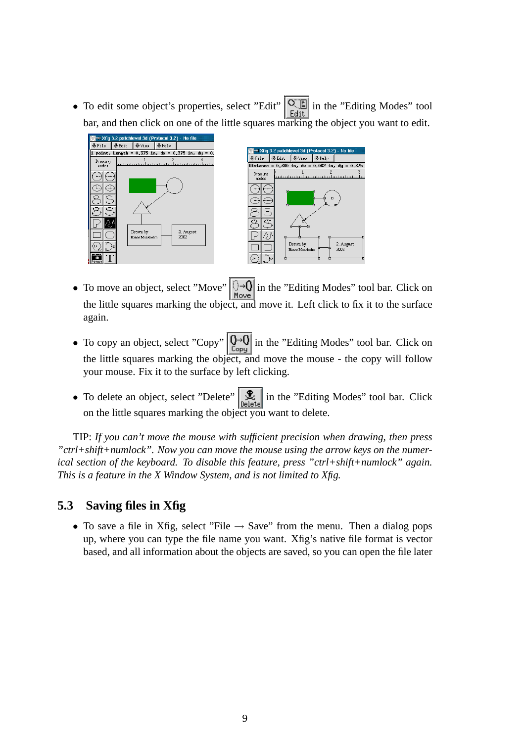• To edit some object's properties, select "Edit"  $\left|\frac{\mathbf{Q}_{\text{eff}}}{\text{Edit}}\right|$  in the "Editing Modes" tool bar, and then click on one of the little squares marking the object you want to edit.



• To move an object, select "Move"  $\boxed{\rightarrow \text{Q}}$  in the "Editing Modes" tool bar. Click on the little squares marking the object, and move it. Left click to fix it to the surface again.

2. August<br>2002

- To copy an object, select "Copy"  $\left[\bigoplus_{\text{Copy}}\right]$  in the "Editing Modes" tool bar. Click on the little squares marking the object, and move the mouse - the copy will follow your mouse. Fix it to the surface by left clicking.
- To delete an object, select "Delete"  $\left[\mathcal{R}\right]$  in the "Editing Modes" tool bar. Click on the little squares marking the object you want to delete.

TIP: *If you can't move the mouse with sufficient precision when drawing, then press "ctrl+shift+numlock". Now you can move the mouse using the arrow keys on the numerical section of the keyboard. To disable this feature, press "ctrl+shift+numlock" again. This is a feature in the X Window System, and is not limited to Xfig.*

### **5.3 Saving files in Xfig**

• To save a file in Xfig, select "File  $\rightarrow$  Save" from the menu. Then a dialog pops up, where you can type the file name you want. Xfig's native file format is vector based, and all information about the objects are saved, so you can open the file later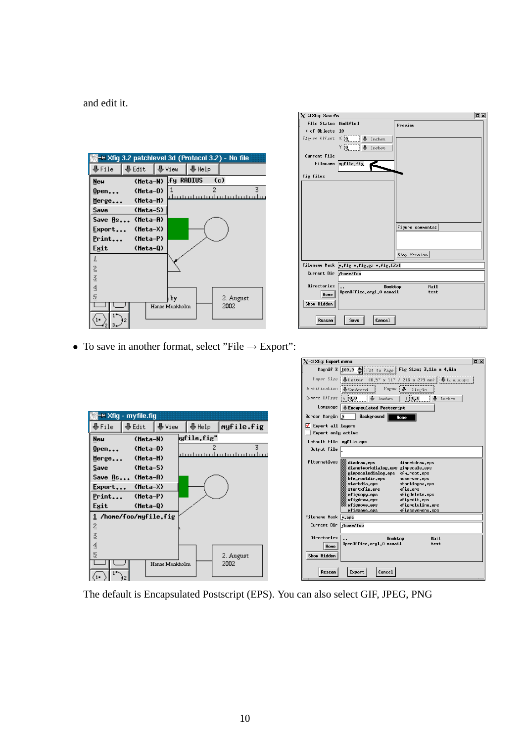and edit it.

|            |                  |                | → Xfig 3.2 patchlevel 3d (Protocol 3.2) - No file |                                |
|------------|------------------|----------------|---------------------------------------------------|--------------------------------|
| ∰File      | llase Edit       | ∥ ∰View        | ∣ ∰ Help                                          |                                |
| <b>New</b> | (Meta-N)         |                | <b>Ify RADIUS</b>                                 | (c)                            |
| $0$ pen    | $(Meta-0)$       |                |                                                   | 3                              |
| Merge      | (Meta-M)         |                |                                                   | <u>lautadautadautadautadau</u> |
| Save       | $(Meta-S)$       |                |                                                   |                                |
|            | Save As (Meta-A) |                |                                                   |                                |
| Export     | $(Meta-X)$       |                |                                                   |                                |
| Print      | $(Meta-P)$       |                |                                                   |                                |
| Exit       | $(Meta-0)$       |                |                                                   |                                |
| ś.         |                  |                |                                                   |                                |
| 2          |                  |                |                                                   |                                |
| š          |                  |                |                                                   |                                |
| §          |                  |                |                                                   |                                |
| Ş          |                  | by             |                                                   | 2. August                      |
|            |                  | Hanne Munkholm |                                                   | 2002                           |
|            |                  |                |                                                   |                                |

| $\chi$ -M $\times$ fig: SaveAs                         |                                       | $\Box$ x         |
|--------------------------------------------------------|---------------------------------------|------------------|
| <b>File Status Modified</b>                            |                                       | Preview          |
| # of Objects 10                                        |                                       |                  |
|                                                        | Figure Offset X 0 J Inches            |                  |
|                                                        | $\frac{1}{2}$ on $\frac{1}{2}$ inches |                  |
| Current File                                           |                                       |                  |
| Filenane                                               | nyfile.fig                            |                  |
| Fig files                                              |                                       |                  |
|                                                        |                                       |                  |
|                                                        |                                       |                  |
|                                                        |                                       |                  |
|                                                        |                                       |                  |
|                                                        |                                       |                  |
|                                                        |                                       | Figure connents: |
|                                                        |                                       |                  |
|                                                        |                                       |                  |
|                                                        |                                       | Stop Preview     |
| Filenane Mask *fig *fig.gz *fig.[Zz]                   |                                       |                  |
| Current Dir /hone/foo                                  |                                       |                  |
| Directories<br>Mail<br>Desktop<br>$\ddot{\phantom{a}}$ |                                       |                  |
| Hone                                                   | OpenOffice.org1.0 nsmail              | test             |
| Show Hidden                                            |                                       |                  |
|                                                        |                                       |                  |
| Rescan                                                 | Cancel<br>Save                        |                  |

• To save in another format, select "File  $\rightarrow$  Export":

|                                                    | $\Box$ x<br>$X$ - $\bowtie$ Xfig: Export menu                                                       |
|----------------------------------------------------|-----------------------------------------------------------------------------------------------------|
|                                                    | Magnif % $100.0$ $\triangleq$ Fit to Page<br>Fig Size: 3.1in x 4.6in                                |
|                                                    | Paper Size   Letter (8.5° x 11° / 216 x 279 mm)   Landscape                                         |
|                                                    | Justification   Lentered<br>Pages<br>$\clubsuit$<br>Single                                          |
|                                                    | Expert Offset<br>$\times 0.0$<br><b>&amp;</b> Inches<br>$\vert \ell \vert \vert 0,0$<br>♨<br>Inchen |
|                                                    | Language<br>Encapsulated Postscript                                                                 |
| −™ Xfig - myfile.fig                               | Border Margin 0<br>Background<br>None                                                               |
| ∰View<br>myfile.fig<br>∰File<br>- Bedit®<br>∰Help  | Export all layers                                                                                   |
| lyfile.fig"                                        | Export only active                                                                                  |
| (Meta-N)<br><b>New</b>                             | Default File myfile.eps                                                                             |
| 3<br>$(Meta-0)$<br>$0$ pen                         | Output File                                                                                         |
| la indra da de la charta da c<br>(Meta-M)<br>Merge | Alternatives<br>diadraw.eps<br>dianetdraw.eps                                                       |
| Save<br>$(Meta-S)$                                 | dianetworkdialog.eps gimpscale.eps                                                                  |
| Save As (Meta-A)                                   | ginpscaledialog.eps<br>kfn_root.eps<br>kfn_rootdir.eps                                              |
|                                                    | noserver, eps<br>startdia.eps<br>startingna.eps                                                     |
| $(Meta-X)$<br>$E$ xport                            | startxfig.eps<br>xfig.eps                                                                           |
| Print<br>(Meta-P)                                  | xfigcopy.eps<br>xfigdelete.eps<br>xfigdraw.eps<br>xfigedit.eps                                      |
| Exit<br>$(Meta-0)$                                 | xfigpolyline.eps<br>xfignove.eps                                                                    |
| 1 /hone/foo/nyfile.fig                             | xfigsavenenu.eps<br>xfigsave.eps<br>Filenane Mask *.eps                                             |
|                                                    | Current Dir /hone/foo                                                                               |
| 2                                                  |                                                                                                     |
| $\stackrel{.}{\scriptstyle \odot}$                 | Directories<br>Mail<br>Desktop                                                                      |
| ₫                                                  | OpenOffice.org1.0 nsmail<br>test<br>Hone                                                            |
| S<br>2. August                                     | Show Hidden                                                                                         |
| 2002<br>Hanne Munkholm                             |                                                                                                     |
|                                                    | Cancel<br>Rescan<br>Export                                                                          |
|                                                    |                                                                                                     |

The default is Encapsulated Postscript (EPS). You can also select GIF, JPEG, PNG